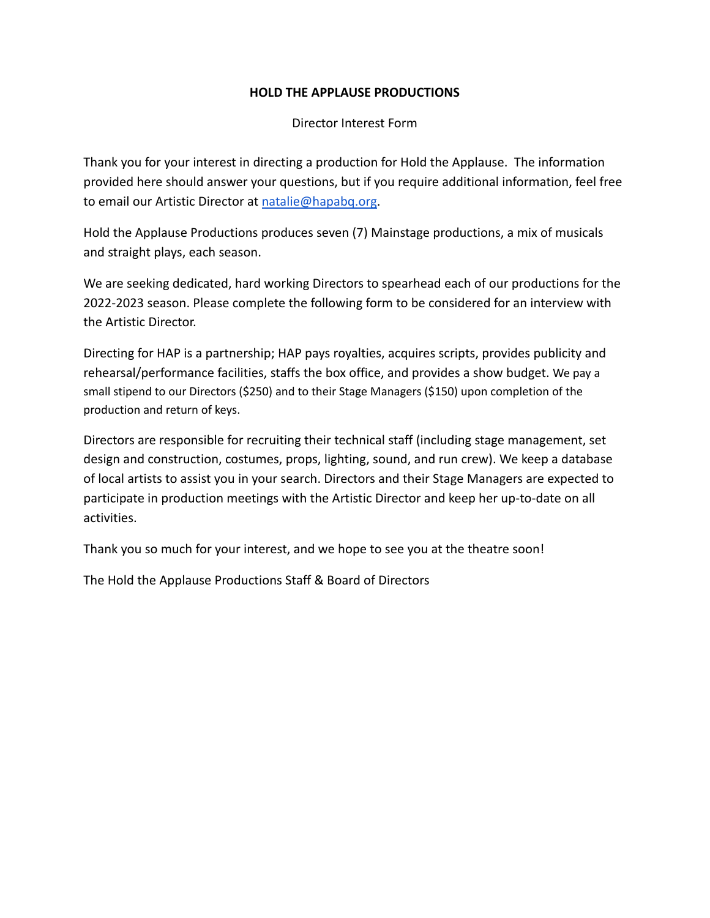# **HOLD THE APPLAUSE PRODUCTIONS**

Director Interest Form

Thank you for your interest in directing a production for Hold the Applause. The information provided here should answer your questions, but if you require additional information, feel free to email our Artistic Director at [natalie@hapabq.org](mailto:natalie@hapabq.org).

Hold the Applause Productions produces seven (7) Mainstage productions, a mix of musicals and straight plays, each season.

We are seeking dedicated, hard working Directors to spearhead each of our productions for the 2022-2023 season. Please complete the following form to be considered for an interview with the Artistic Director.

Directing for HAP is a partnership; HAP pays royalties, acquires scripts, provides publicity and rehearsal/performance facilities, staffs the box office, and provides a show budget. We pay a small stipend to our Directors (\$250) and to their Stage Managers (\$150) upon completion of the production and return of keys.

Directors are responsible for recruiting their technical staff (including stage management, set design and construction, costumes, props, lighting, sound, and run crew). We keep a database of local artists to assist you in your search. Directors and their Stage Managers are expected to participate in production meetings with the Artistic Director and keep her up-to-date on all activities.

Thank you so much for your interest, and we hope to see you at the theatre soon!

The Hold the Applause Productions Staff & Board of Directors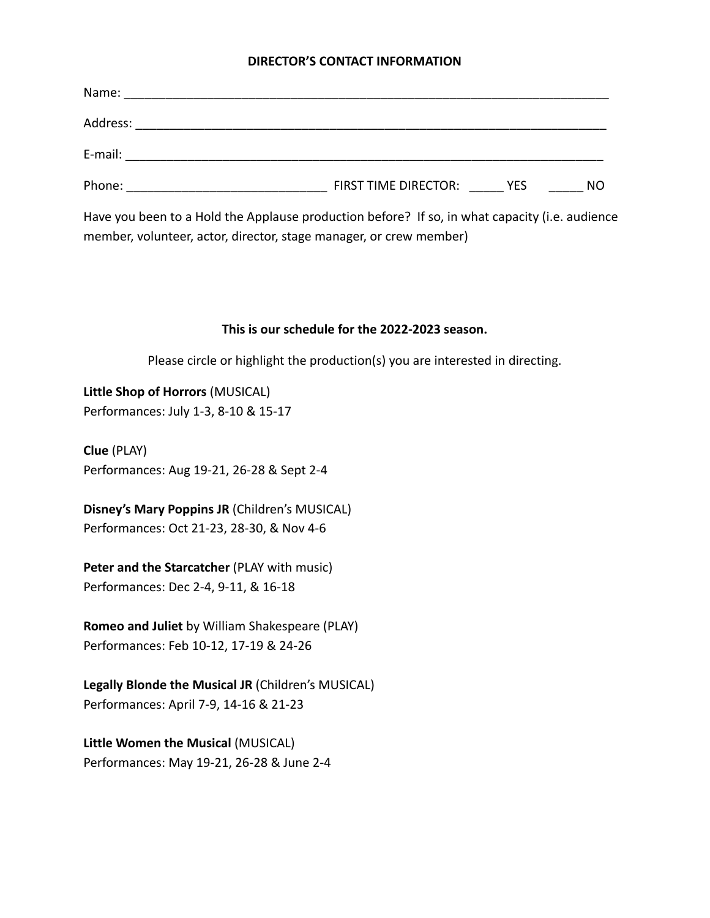### **DIRECTOR'S CONTACT INFORMATION**

| Phone: _________________________ | FIRST TIME DIRECTOR: YES | NO |
|----------------------------------|--------------------------|----|

Have you been to a Hold the Applause production before? If so, in what capacity (i.e. audience member, volunteer, actor, director, stage manager, or crew member)

#### **This is our schedule for the 2022-2023 season.**

Please circle or highlight the production(s) you are interested in directing.

**Little Shop of Horrors** (MUSICAL) Performances: July 1-3, 8-10 & 15-17

**Clue** (PLAY) Performances: Aug 19-21, 26-28 & Sept 2-4

**Disney's Mary Poppins JR** (Children's MUSICAL) Performances: Oct 21-23, 28-30, & Nov 4-6

**Peter and the Starcatcher** (PLAY with music) Performances: Dec 2-4, 9-11, & 16-18

**Romeo and Juliet** by William Shakespeare (PLAY) Performances: Feb 10-12, 17-19 & 24-26

**Legally Blonde the Musical JR** (Children's MUSICAL) Performances: April 7-9, 14-16 & 21-23

**Little Women the Musical** (MUSICAL) Performances: May 19-21, 26-28 & June 2-4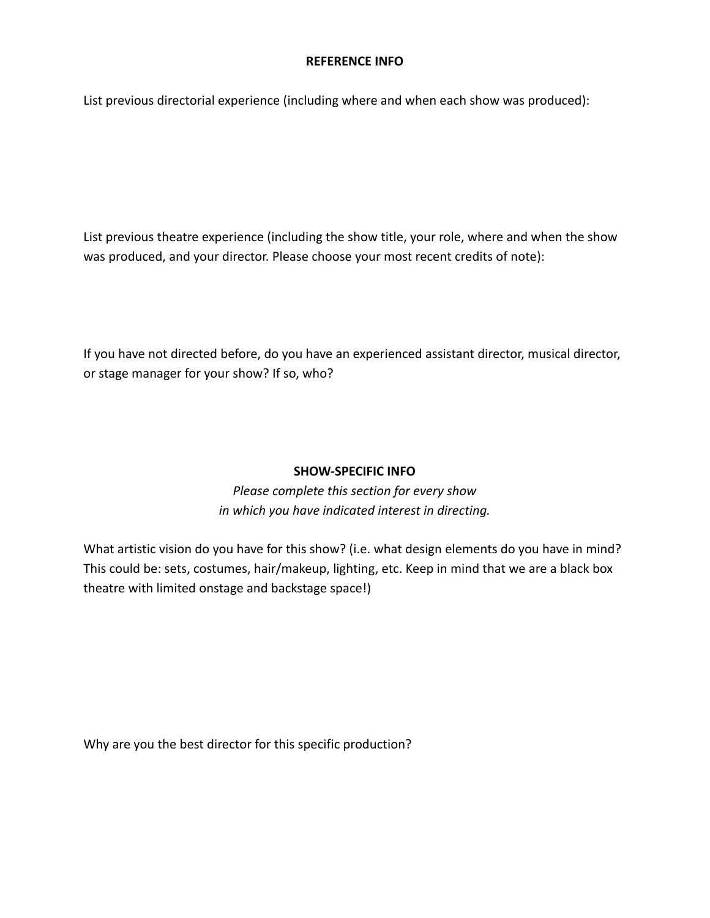## **REFERENCE INFO**

List previous directorial experience (including where and when each show was produced):

List previous theatre experience (including the show title, your role, where and when the show was produced, and your director. Please choose your most recent credits of note):

If you have not directed before, do you have an experienced assistant director, musical director, or stage manager for your show? If so, who?

## **SHOW-SPECIFIC INFO**

*Please complete this section for every show in which you have indicated interest in directing.*

What artistic vision do you have for this show? (i.e. what design elements do you have in mind? This could be: sets, costumes, hair/makeup, lighting, etc. Keep in mind that we are a black box theatre with limited onstage and backstage space!)

Why are you the best director for this specific production?